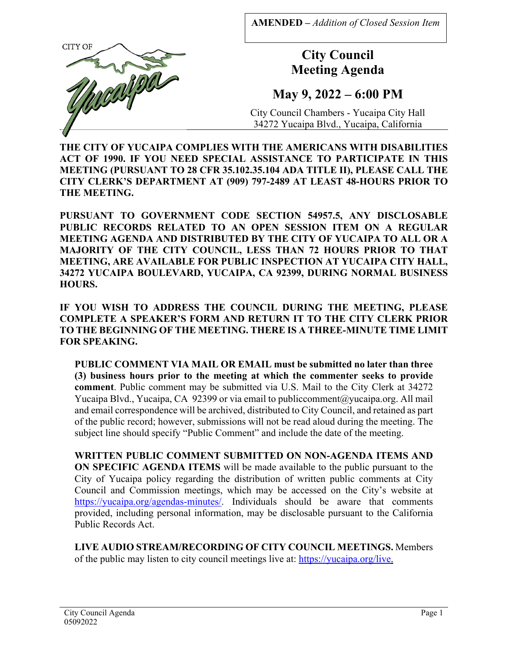**AMENDED –** *Addition of Closed Session Item*



**City Council Meeting Agenda**

**May 9, 2022 – 6:00 PM** 

City Council Chambers - Yucaipa City Hall 34272 Yucaipa Blvd., Yucaipa, California

**THE CITY OF YUCAIPA COMPLIES WITH THE AMERICANS WITH DISABILITIES ACT OF 1990. IF YOU NEED SPECIAL ASSISTANCE TO PARTICIPATE IN THIS MEETING (PURSUANT TO 28 CFR 35.102.35.104 ADA TITLE II), PLEASE CALL THE CITY CLERK'S DEPARTMENT AT (909) 797-2489 AT LEAST 48-HOURS PRIOR TO THE MEETING.**

**PURSUANT TO GOVERNMENT CODE SECTION 54957.5, ANY DISCLOSABLE PUBLIC RECORDS RELATED TO AN OPEN SESSION ITEM ON A REGULAR MEETING AGENDA AND DISTRIBUTED BY THE CITY OF YUCAIPA TO ALL OR A MAJORITY OF THE CITY COUNCIL, LESS THAN 72 HOURS PRIOR TO THAT MEETING, ARE AVAILABLE FOR PUBLIC INSPECTION AT YUCAIPA CITY HALL, 34272 YUCAIPA BOULEVARD, YUCAIPA, CA 92399, DURING NORMAL BUSINESS HOURS.** 

**IF YOU WISH TO ADDRESS THE COUNCIL DURING THE MEETING, PLEASE COMPLETE A SPEAKER'S FORM AND RETURN IT TO THE CITY CLERK PRIOR TO THE BEGINNING OF THE MEETING. THERE IS A THREE-MINUTE TIME LIMIT FOR SPEAKING.** 

**PUBLIC COMMENT VIA MAIL OR EMAIL must be submitted no later than three (3) business hours prior to the meeting at which the commenter seeks to provide comment**. Public comment may be submitted via U.S. Mail to the City Clerk at 34272 Yucaipa Blvd., Yucaipa, CA 92399 or via email to publiccomment@yucaipa.org. All mail and email correspondence will be archived, distributed to City Council, and retained as part of the public record; however, submissions will not be read aloud during the meeting. The subject line should specify "Public Comment" and include the date of the meeting.

**WRITTEN PUBLIC COMMENT SUBMITTED ON NON-AGENDA ITEMS AND ON SPECIFIC AGENDA ITEMS** will be made available to the public pursuant to the City of Yucaipa policy regarding the distribution of written public comments at City Council and Commission meetings, which may be accessed on the City's website at https://yucaipa.org/agendas-minutes/. Individuals should be aware that comments provided, including personal information, may be disclosable pursuant to the California Public Records Act.

**LIVE AUDIO STREAM/RECORDING OF CITY COUNCIL MEETINGS.** Members of the public may listen to city council meetings live at: https://yucaipa.org/live.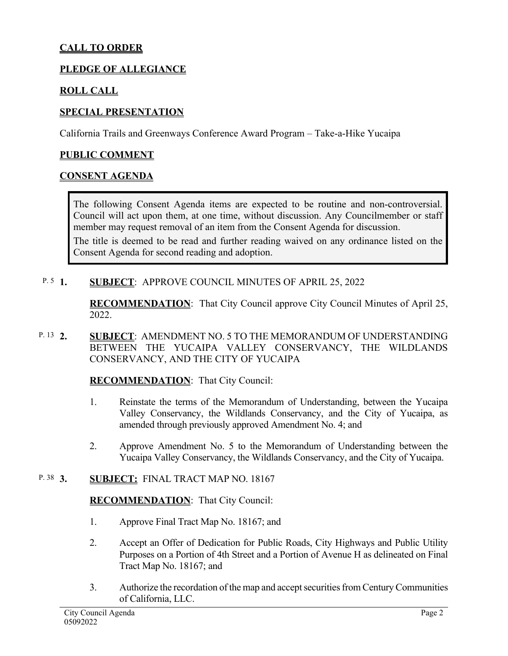# **CALL TO ORDER**

## **PLEDGE OF ALLEGIANCE**

## **ROLL CALL**

## **SPECIAL PRESENTATION**

California Trails and Greenways Conference Award Program – Take-a-Hike Yucaipa

### **PUBLIC COMMENT**

#### **CONSENT AGENDA**

The following Consent Agenda items are expected to be routine and non-controversial. Council will act upon them, at one time, without discussion. Any Councilmember or staff member may request removal of an item from the Consent Agenda for discussion.

The title is deemed to be read and further reading waived on any ordinance listed on the Consent Agenda for second reading and adoption.

#### **SUBJECT: APPROVE COUNCIL MINUTES OF APRIL 25, 2022** P.  $5\,1$ .

**RECOMMENDATION**:That City Council approve City Council Minutes of April 25, 2022.

**2. SUBJECT**: AMENDMENT NO. 5 TO THE MEMORANDUM OF UNDERSTANDING BETWEEN THE YUCAIPA VALLEY CONSERVANCY, THE WILDLANDS CONSERVANCY, AND THE CITY OF YUCAIPA P. 13 2.

### **RECOMMENDATION**:That City Council:

- 1. Reinstate the terms of the Memorandum of Understanding, between the Yucaipa Valley Conservancy, the Wildlands Conservancy, and the City of Yucaipa, as amended through previously approved Amendment No. 4; and
- 2. Approve Amendment No. 5 to the Memorandum of Understanding between the Yucaipa Valley Conservancy, the Wildlands Conservancy, and the City of Yucaipa.

#### **3. SUBJECT:** FINAL TRACT MAP NO. 18167 P. 38 3.

### **RECOMMENDATION**:That City Council:

- 1. Approve Final Tract Map No. 18167; and
- 2. Accept an Offer of Dedication for Public Roads, City Highways and Public Utility Purposes on a Portion of 4th Street and a Portion of Avenue H as delineated on Final Tract Map No. 18167; and
- 3. Authorize the recordation of the map and accept securities from Century Communities of California, LLC.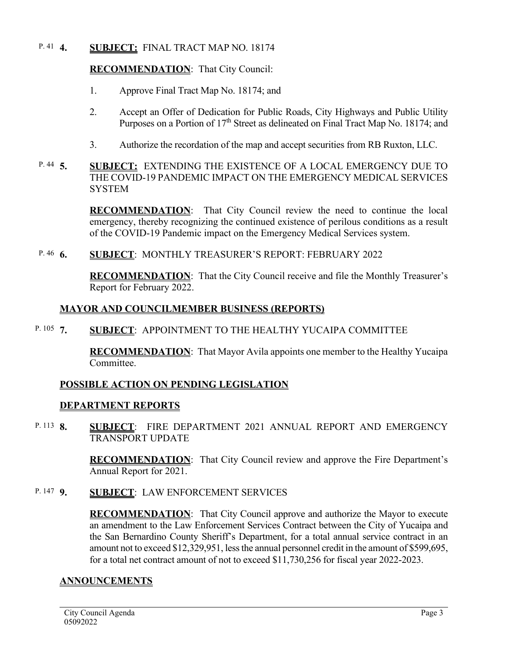#### **4. SUBJECT:** FINAL TRACT MAP NO. 18174 P. 41  $4.$

## **RECOMMENDATION**:That City Council:

- 1. Approve Final Tract Map No. 18174; and
- 2. Accept an Offer of Dedication for Public Roads, City Highways and Public Utility Purposes on a Portion of  $17<sup>th</sup>$  Street as delineated on Final Tract Map No. 18174; and
- 3. Authorize the recordation of the map and accept securities from RB Ruxton, LLC.
- **5. SUBJECT:** EXTENDING THE EXISTENCE OF A LOCAL EMERGENCY DUE TO THE COVID-19 PANDEMIC IMPACT ON THE EMERGENCY MEDICAL SERVICES **SYSTEM** P.  $44\quad5.$

**RECOMMENDATION**:That City Council review the need to continue the local emergency, thereby recognizing the continued existence of perilous conditions as a result of the COVID-19 Pandemic impact on the Emergency Medical Services system.

**6. SUBJECT**: MONTHLY TREASURER'S REPORT: FEBRUARY 2022 P. 46 6.

> **RECOMMENDATION**:That the City Council receive and file the Monthly Treasurer's Report for February 2022.

## **MAYOR AND COUNCILMEMBER BUSINESS (REPORTS)**

**7. SUBJECT**: APPOINTMENT TO THE HEALTHY YUCAIPA COMMITTEE P. 105  $7.$ 

> **RECOMMENDATION**:That Mayor Avila appoints one member to the Healthy Yucaipa Committee.

## **POSSIBLE ACTION ON PENDING LEGISLATION**

## **DEPARTMENT REPORTS**

**8. SUBJECT**: FIRE DEPARTMENT 2021 ANNUAL REPORT AND EMERGENCY TRANSPORT UPDATE P. 113 **8**.

> **RECOMMENDATION**:That City Council review and approve the Fire Department's Annual Report for 2021.

**9. SUBJECT**: LAW ENFORCEMENT SERVICES P. 147 **9** 

> **RECOMMENDATION**:That City Council approve and authorize the Mayor to execute an amendment to the Law Enforcement Services Contract between the City of Yucaipa and the San Bernardino County Sheriff's Department, for a total annual service contract in an amount not to exceed \$12,329,951, less the annual personnel credit in the amount of \$599,695, for a total net contract amount of not to exceed \$11,730,256 for fiscal year 2022-2023.

## **ANNOUNCEMENTS**